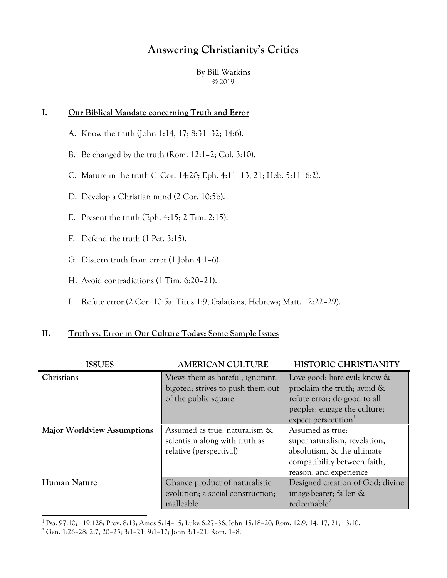# **Answering Christianity's Critics**

By Bill Watkins © 2019

#### **I. Our Biblical Mandate concerning Truth and Error**

- A. Know the truth (John 1:14, 17; 8:31–32; 14:6).
- B. Be changed by the truth (Rom. 12:1–2; Col. 3:10).
- C. Mature in the truth (1 Cor. 14:20; Eph. 4:11–13, 21; Heb. 5:11–6:2).
- D. Develop a Christian mind (2 Cor. 10:5b).
- E. Present the truth (Eph. 4:15; 2 Tim. 2:15).
- F. Defend the truth (1 Pet. 3:15).
- G. Discern truth from error (1 John 4:1–6).
- H. Avoid contradictions (1 Tim. 6:20–21).
- I. Refute error (2 Cor. 10:5a; Titus 1:9; Galatians; Hebrews; Matt. 12:22–29).

# **II. Truth vs. Error in Our Culture Today: Some Sample Issues**

| <b>ISSUES</b>                      | <b>AMERICAN CULTURE</b>                                                                       | <b>HISTORIC CHRISTIANITY</b>                                                                                                                                      |
|------------------------------------|-----------------------------------------------------------------------------------------------|-------------------------------------------------------------------------------------------------------------------------------------------------------------------|
| Christians                         | Views them as hateful, ignorant,<br>bigoted; strives to push them out<br>of the public square | Love good; hate evil; know &<br>proclaim the truth; avoid $\&$<br>refute error; do good to all<br>peoples; engage the culture;<br>expect persecution <sup>1</sup> |
| <b>Major Worldview Assumptions</b> | Assumed as true: naturalism &<br>scientism along with truth as<br>relative (perspectival)     | Assumed as true:<br>supernaturalism, revelation,<br>absolutism, & the ultimate<br>compatibility between faith,<br>reason, and experience                          |
| <b>Human Nature</b>                | Chance product of naturalistic<br>evolution; a social construction;<br>malleable              | Designed creation of God; divine<br>image-bearer; fallen &<br>redeemable <sup>2</sup>                                                                             |

1 Psa. 97:10; 119:128; Prov. 8:13; Amos 5:14–15; Luke 6:27–36; John 15:18–20; Rom. 12:9, 14, 17, 21; 13:10.

l

<sup>2</sup> Gen. 1:26–28; 2:7, 20–25; 3:1–21; 9:1–17; John 3:1–21; Rom. 1–8.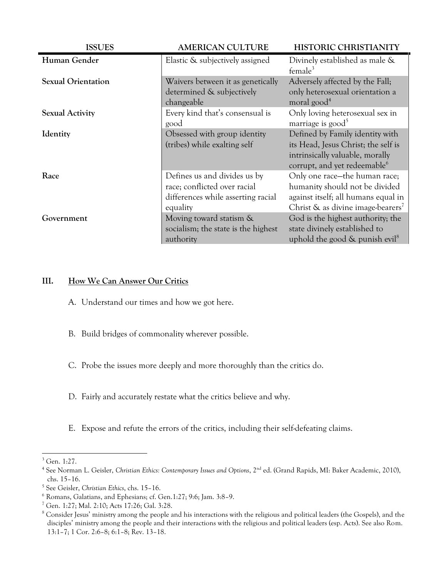| <b>ISSUES</b>             | <b>AMERICAN CULTURE</b>                                                                                        | <b>HISTORIC CHRISTIANITY</b>                                                                                                                               |
|---------------------------|----------------------------------------------------------------------------------------------------------------|------------------------------------------------------------------------------------------------------------------------------------------------------------|
| Human Gender              | Elastic & subjectively assigned                                                                                | Divinely established as male &<br>$f$ emale <sup>3</sup>                                                                                                   |
| <b>Sexual Orientation</b> | Waivers between it as genetically<br>determined & subjectively<br>changeable                                   | Adversely affected by the Fall;<br>only heterosexual orientation a<br>moral good <sup>4</sup>                                                              |
| <b>Sexual Activity</b>    | Every kind that's consensual is<br>good                                                                        | Only loving heterosexual sex in<br>marriage is good <sup>5</sup>                                                                                           |
| Identity                  | Obsessed with group identity<br>(tribes) while exalting self                                                   | Defined by Family identity with<br>its Head, Jesus Christ; the self is<br>intrinsically valuable, morally<br>corrupt, and yet redeemable <sup>6</sup>      |
| Race                      | Defines us and divides us by<br>race; conflicted over racial<br>differences while asserting racial<br>equality | Only one race-the human race;<br>humanity should not be divided<br>against itself; all humans equal in<br>Christ $\&$ as divine image-bearers <sup>7</sup> |
| Government                | Moving toward statism &<br>socialism; the state is the highest<br>authority                                    | God is the highest authority; the<br>state divinely established to<br>uphold the good $\&$ punish evil <sup>8</sup>                                        |

## **III. How We Can Answer Our Critics**

- A. Understand our times and how we got here.
- B. Build bridges of commonality wherever possible.
- C. Probe the issues more deeply and more thoroughly than the critics do.
- D. Fairly and accurately restate what the critics believe and why.
- E. Expose and refute the errors of the critics, including their self-defeating claims.

l

<sup>3</sup> Gen. 1:27.

<sup>&</sup>lt;sup>4</sup> See Norman L. Geisler, Christian Ethics: Contemporary Issues and Options, 2<sup>nd</sup> ed. (Grand Rapids, MI: Baker Academic, 2010), chs. 15–16.

<sup>5</sup> See Geisler, *Christian Ethics*, chs. 15–16.

<sup>6</sup> Romans, Galatians, and Ephesians; cf. Gen.1:27; 9:6; Jam. 3:8–9.

<sup>7</sup> Gen. 1:27; Mal. 2:10; Acts 17:26; Gal. 3:28.

<sup>&</sup>lt;sup>8</sup> Consider Jesus' ministry among the people and his interactions with the religious and political leaders (the Gospels), and the disciples' ministry among the people and their interactions with the religious and political leaders (esp. Acts). See also Rom. 13:1–7; 1 Cor. 2:6–8; 6:1–8; Rev. 13–18.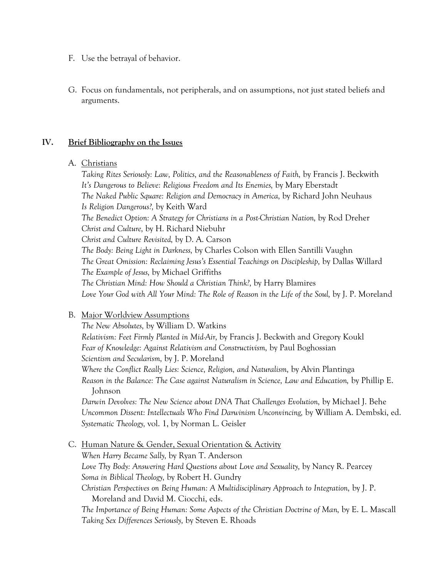- F. Use the betrayal of behavior.
- G. Focus on fundamentals, not peripherals, and on assumptions, not just stated beliefs and arguments.

#### **IV. Brief Bibliography on the Issues**

#### A. Christians

*Taking Rites Seriously: Law, Politics, and the Reasonableness of Faith,* by Francis J. Beckwith *It's Dangerous to Believe: Religious Freedom and Its Enemies,* by Mary Eberstadt *The Naked Public Square: Religion and Democracy in America,* by Richard John Neuhaus *Is Religion Dangerous?,* by Keith Ward *The Benedict Option: A Strategy for Christians in a Post-Christian Nation,* by Rod Dreher *Christ and Culture,* by H. Richard Niebuhr *Christ and Culture Revisited,* by D. A. Carson *The Body: Being Light in Darkness,* by Charles Colson with Ellen Santilli Vaughn *The Great Omission: Reclaiming Jesus's Essential Teachings on Discipleship,* by Dallas Willard *The Example of Jesus,* by Michael Griffiths *The Christian Mind: How Should a Christian Think?,* by Harry Blamires Love Your God with All Your Mind: The Role of Reason in the Life of the Soul, by J. P. Moreland

#### B. Major Worldview Assumptions

*The New Absolutes,* by William D. Watkins *Relativism: Feet Firmly Planted in Mid-Air,* by Francis J. Beckwith and Gregory Koukl *Fear of Knowledge: Against Relativism and Constructivism,* by Paul Boghossian *Scientism and Secularism,* by J. P. Moreland *Where the Conflict Really Lies: Science, Religion, and Naturalism,* by Alvin Plantinga Reason in the Balance: The Case against Naturalism in Science, Law and Education, by Phillip E. Johnson *Darwin Devolves: The New Science about DNA That Challenges Evolution,* by Michael J. Behe

*Uncommon Dissent: Intellectuals Who Find Darwinism Unconvincing,* by William A. Dembski, ed. *Systematic Theology,* vol. 1, by Norman L. Geisler

C. Human Nature & Gender, Sexual Orientation & Activity *When Harry Became Sally,* by Ryan T. Anderson *Love Thy Body: Answering Hard Questions about Love and Sexuality,* by Nancy R. Pearcey *Soma in Biblical Theology,* by Robert H. Gundry *Christian Perspectives on Being Human: A Multidisciplinary Approach to Integration,* by J. P. Moreland and David M. Ciocchi, eds. *The Importance of Being Human: Some Aspects of the Christian Doctrine of Man,* by E. L. Mascall *Taking Sex Differences Seriously,* by Steven E. Rhoads